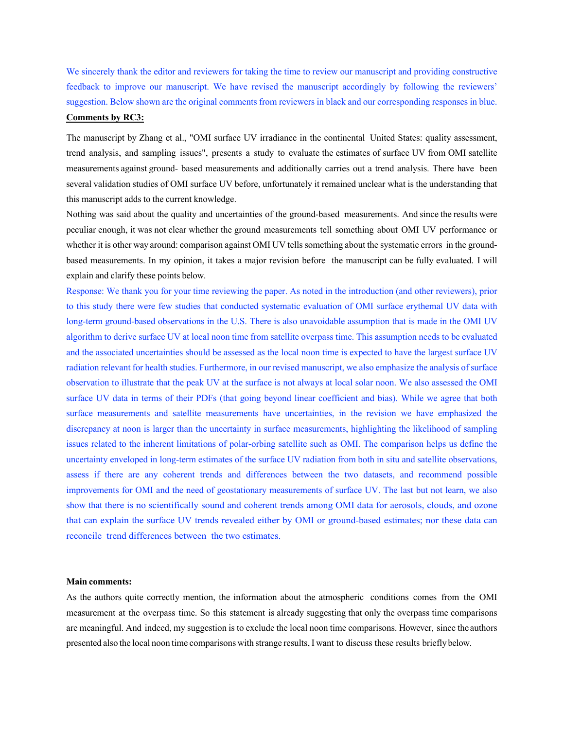We sincerely thank the editor and reviewers for taking the time to review our manuscript and providing constructive feedback to improve our manuscript. We have revised the manuscript accordingly by following the reviewers' suggestion. Below shown are the original comments from reviewers in black and our corresponding responses in blue.

# **Comments by RC3:**

The manuscript by Zhang et al., "OMI surface UV irradiance in the continental United States: quality assessment, trend analysis, and sampling issues", presents a study to evaluate the estimates of surface UV from OMI satellite measurements against ground- based measurements and additionally carries out a trend analysis. There have been several validation studies of OMI surface UV before, unfortunately it remained unclear what is the understanding that this manuscript adds to the current knowledge.

Nothing was said about the quality and uncertainties of the ground-based measurements. And since the results were peculiar enough, it was not clear whether the ground measurements tell something about OMI UV performance or whether it is other way around: comparison against OMI UV tells something about the systematic errors in the groundbased measurements. In my opinion, it takes a major revision before the manuscript can be fully evaluated. I will explain and clarify these points below.

Response: We thank you for your time reviewing the paper. As noted in the introduction (and other reviewers), prior to this study there were few studies that conducted systematic evaluation of OMI surface erythemal UV data with long-term ground-based observations in the U.S. There is also unavoidable assumption that is made in the OMI UV algorithm to derive surface UV at local noon time from satellite overpass time. This assumption needs to be evaluated and the associated uncertainties should be assessed as the local noon time is expected to have the largest surface UV radiation relevant for health studies. Furthermore, in our revised manuscript, we also emphasize the analysis of surface observation to illustrate that the peak UV at the surface is not always at local solar noon. We also assessed the OMI surface UV data in terms of their PDFs (that going beyond linear coefficient and bias). While we agree that both surface measurements and satellite measurements have uncertainties, in the revision we have emphasized the discrepancy at noon is larger than the uncertainty in surface measurements, highlighting the likelihood of sampling issues related to the inherent limitations of polar-orbing satellite such as OMI. The comparison helps us define the uncertainty enveloped in long-term estimates of the surface UV radiation from both in situ and satellite observations, assess if there are any coherent trends and differences between the two datasets, and recommend possible improvements for OMI and the need of geostationary measurements of surface UV. The last but not learn, we also show that there is no scientifically sound and coherent trends among OMI data for aerosols, clouds, and ozone that can explain the surface UV trends revealed either by OMI or ground-based estimates; nor these data can reconcile trend differences between the two estimates.

### **Main comments:**

As the authors quite correctly mention, the information about the atmospheric conditions comes from the OMI measurement at the overpass time. So this statement is already suggesting that only the overpass time comparisons are meaningful. And indeed, my suggestion is to exclude the local noon time comparisons. However, since the authors presented also the local noon time comparisons with strange results, I want to discuss these results briefly below.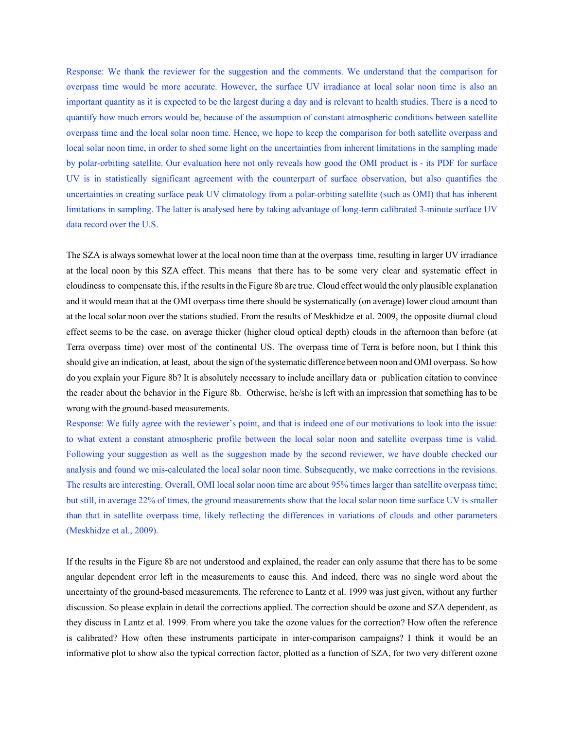Response: We thank the reviewer for the suggestion and the comments. We understand that the comparison for overpass time would be more accurate. However, the surface UV irradiance at local solar noon time is also an important quantity as it is expected to be the largest during a day and is relevant to health studies. There is a need to quantify how much errors would be, because of the assumption of constant atmospheric conditions between satellite overpass time and the local solar noon time. Hence, we hope to keep the comparison for both satellite overpass and local solar noon time, in order to shed some light on the uncertainties from inherent limitations in the sampling made by polar-orbiting satellite. Our evaluation here not only reveals how good the OMI product is - its PDF for surface UV is in statistically significant agreement with the counterpart of surface observation, but also quantifies the uncertainties in creating surface peak UV climatology from a polar-orbiting satellite (such as OMI) that has inherent limitations in sampling. The latter is analysed here by taking advantage of long-term calibrated 3-minute surface UV data record over the U.S.

The SZA is always somewhat lower at the local noon time than at the overpass time, resulting in larger UV irradiance at the local noon by this SZA effect. This means that there has to be some very clear and systematic effect in cloudiness to compensate this, if the resultsin the Figure 8b are true. Cloud effect would the only plausible explanation and it would mean that at the OMI overpass time there should be systematically (on average) lower cloud amount than at the local solar noon over the stations studied. From the results of Meskhidze et al. 2009, the opposite diurnal cloud effect seems to be the case, on average thicker (higher cloud optical depth) clouds in the afternoon than before (at Terra overpass time) over most of the continental US. The overpass time of Terra is before noon, but I think this should give an indication, at least, about the sign of the systematic difference between noon and OMI overpass. So how do you explain your Figure 8b? It is absolutely necessary to include ancillary data or publication citation to convince the reader about the behavior in the Figure 8b. Otherwise, he/she is left with an impression that something has to be wrong with the ground-based measurements.

Response: We fully agree with the reviewer's point, and that is indeed one of our motivations to look into the issue: to what extent a constant atmospheric profile between the local solar noon and satellite overpass time is valid. Following your suggestion as well as the suggestion made by the second reviewer, we have double checked our analysis and found we mis-calculated the local solar noon time. Subsequently, we make corrections in the revisions. The results are interesting. Overall, OMI local solar noon time are about 95% times larger than satellite overpass time; but still, in average 22% of times, the ground measurements show that the local solar noon time surface UV is smaller than that in satellite overpass time, likely reflecting the differences in variations of clouds and other parameters (Meskhidze et al., 2009).

If the results in the Figure 8b are not understood and explained, the reader can only assume that there has to be some angular dependent error left in the measurements to cause this. And indeed, there was no single word about the uncertainty of the ground-based measurements. The reference to Lantz et al. 1999 was just given, without any further discussion. So please explain in detail the corrections applied. The correction should be ozone and SZA dependent, as they discuss in Lantz et al. 1999. From where you take the ozone values for the correction? How often the reference is calibrated? How often these instruments participate in inter-comparison campaigns? I think it would be an informative plot to show also the typical correction factor, plotted as a function of SZA, for two very different ozone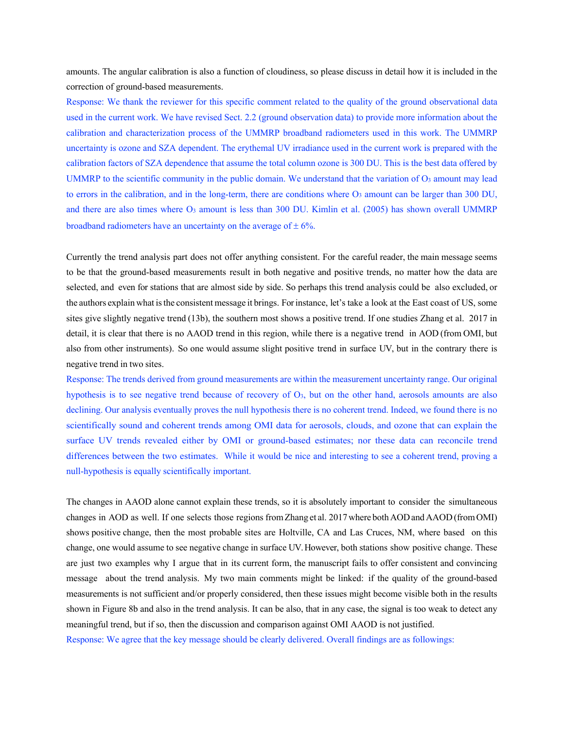amounts. The angular calibration is also a function of cloudiness, so please discuss in detail how it is included in the correction of ground-based measurements.

Response: We thank the reviewer for this specific comment related to the quality of the ground observational data used in the current work. We have revised Sect. 2.2 (ground observation data) to provide more information about the calibration and characterization process of the UMMRP broadband radiometers used in this work. The UMMRP uncertainty is ozone and SZA dependent. The erythemal UV irradiance used in the current work is prepared with the calibration factors of SZA dependence that assume the total column ozone is 300 DU. This is the best data offered by UMMRP to the scientific community in the public domain. We understand that the variation of  $O_3$  amount may lead to errors in the calibration, and in the long-term, there are conditions where  $O_3$  amount can be larger than 300 DU, and there are also times where  $O_3$  amount is less than 300 DU. Kimlin et al. (2005) has shown overall UMMRP broadband radiometers have an uncertainty on the average of  $\pm$  6%.

Currently the trend analysis part does not offer anything consistent. For the careful reader, the main message seems to be that the ground-based measurements result in both negative and positive trends, no matter how the data are selected, and even for stations that are almost side by side. So perhaps this trend analysis could be also excluded, or the authors explain what isthe consistent message it brings. Forinstance, let's take a look at the East coast of US, some sites give slightly negative trend (13b), the southern most shows a positive trend. If one studies Zhang et al. 2017 in detail, it is clear that there is no AAOD trend in this region, while there is a negative trend in AOD (from OMI, but also from other instruments). So one would assume slight positive trend in surface UV, but in the contrary there is negative trend in two sites.

Response: The trends derived from ground measurements are within the measurement uncertainty range. Our original hypothesis is to see negative trend because of recovery of O3, but on the other hand, aerosols amounts are also declining. Our analysis eventually proves the null hypothesis there is no coherent trend. Indeed, we found there is no scientifically sound and coherent trends among OMI data for aerosols, clouds, and ozone that can explain the surface UV trends revealed either by OMI or ground-based estimates; nor these data can reconcile trend differences between the two estimates. While it would be nice and interesting to see a coherent trend, proving a null-hypothesis is equally scientifically important.

The changes in AAOD alone cannot explain these trends, so it is absolutely important to consider the simultaneous changes in AOD as well. If one selects those regions fromZhang et al. 2017 where both AODand AAOD(fromOMI) shows positive change, then the most probable sites are Holtville, CA and Las Cruces, NM, where based on this change, one would assume to see negative change in surface UV. However, both stations show positive change. These are just two examples why I argue that in its current form, the manuscript fails to offer consistent and convincing message about the trend analysis. My two main comments might be linked: if the quality of the ground-based measurements is not sufficient and/or properly considered, then these issues might become visible both in the results shown in Figure 8b and also in the trend analysis. It can be also, that in any case, the signal is too weak to detect any meaningful trend, but if so, then the discussion and comparison against OMI AAOD is not justified.

Response: We agree that the key message should be clearly delivered. Overall findings are as followings: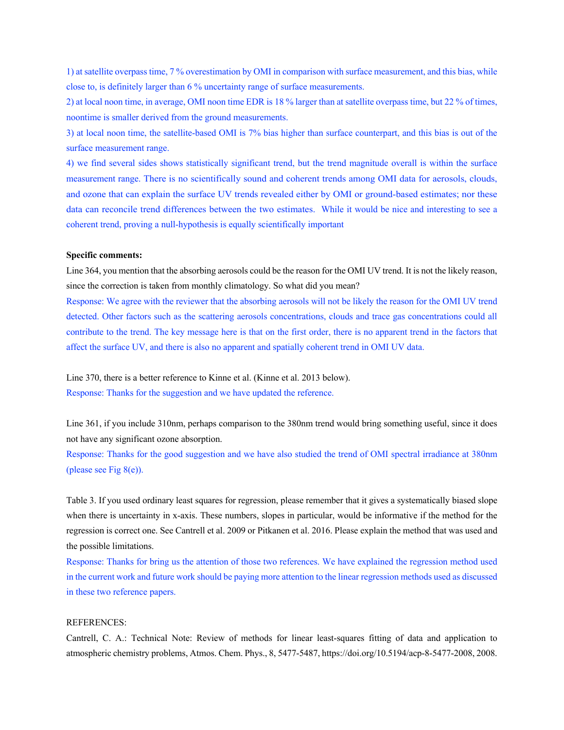1) at satellite overpass time, 7 % overestimation by OMI in comparison with surface measurement, and this bias, while close to, is definitely larger than 6 % uncertainty range of surface measurements.

2) at local noon time, in average, OMI noon time EDR is 18 % larger than at satellite overpass time, but 22 % of times, noontime is smaller derived from the ground measurements.

3) at local noon time, the satellite-based OMI is 7% bias higher than surface counterpart, and this bias is out of the surface measurement range.

4) we find several sides shows statistically significant trend, but the trend magnitude overall is within the surface measurement range. There is no scientifically sound and coherent trends among OMI data for aerosols, clouds, and ozone that can explain the surface UV trends revealed either by OMI or ground-based estimates; nor these data can reconcile trend differences between the two estimates. While it would be nice and interesting to see a coherent trend, proving a null-hypothesis is equally scientifically important

#### **Specific comments:**

Line 364, you mention that the absorbing aerosols could be the reason for the OMI UV trend. It is not the likely reason, since the correction is taken from monthly climatology. So what did you mean?

Response: We agree with the reviewer that the absorbing aerosols will not be likely the reason for the OMI UV trend detected. Other factors such as the scattering aerosols concentrations, clouds and trace gas concentrations could all contribute to the trend. The key message here is that on the first order, there is no apparent trend in the factors that affect the surface UV, and there is also no apparent and spatially coherent trend in OMI UV data.

Line 370, there is a better reference to Kinne et al. (Kinne et al. 2013 below). Response: Thanks for the suggestion and we have updated the reference.

Line 361, if you include 310nm, perhaps comparison to the 380nm trend would bring something useful, since it does not have any significant ozone absorption.

Response: Thanks for the good suggestion and we have also studied the trend of OMI spectral irradiance at 380nm (please see Fig 8(e)).

Table 3. If you used ordinary least squares for regression, please remember that it gives a systematically biased slope when there is uncertainty in x-axis. These numbers, slopes in particular, would be informative if the method for the regression is correct one. See Cantrell et al. 2009 or Pitkanen et al. 2016. Please explain the method that was used and the possible limitations.

Response: Thanks for bring us the attention of those two references. We have explained the regression method used in the current work and future work should be paying more attention to the linear regression methods used as discussed in these two reference papers.

### REFERENCES:

Cantrell, C. A.: Technical Note: Review of methods for linear least-squares fitting of data and application to atmospheric chemistry problems, Atmos. Chem. Phys., 8, 5477-5487, https://doi.org/10.5194/acp-8-5477-2008, 2008.